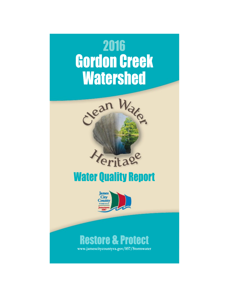



# **Water Quality Report**



# **Restore & Protect**

www.jamescitycountyva.gov/857/Stormwater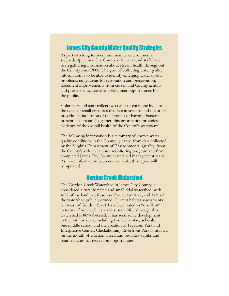#### **James City County Water Quality Strategies**

As part of a long term commitment to environmental stewardship, James City County volunteers and staff have been gathering information about stream health throughout the County since 2008. The goal of collecting water quality information is to be able to identify emerging water quality problems, target areas for restoration and preservation, document improvements from citizen and County actions and provide educational and volunteer opportunities for the public.

Volunteers and staff collect two types of data: one looks at the types of small creatures that live in streams and the other provides an indication of the amount of harmful bacteria present in a stream. Together, this information provides evidence of the overall health of the County's waterways.

The following information is a summary of known water quality conditions in the County, gleaned from data collected by the Virginia Department of Environmental Quality, from the County's volunteer water monitoring program and from completed James City County watershed management plans. As more information becomes available, this report will be updated.

## **Gordon Creek Watershed**

The Gordon Creek Watershed in James City County is considered a rural forested and small tidal watershed, with 41% of the land in a Resource Protection Area, and 17% of the watershed publicly-owned. Current habitat assessments for most of Gordon Creek have been rated as "excellent" in terms of how well it should sustain life. Although this watershed is 86% forested, it has seen some development in the last few years, including two elementary schools, one middle school and the creation of Freedom Park and Interpretive Center. Chickahominy Riverfront Park is situated on the mouth of Gordon Creek and provides kayaks and boat launches for recreation opportunities.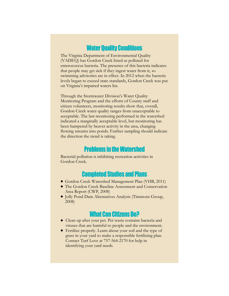#### **Water Quality Conditions**

The Virginia Department of Environmental Quality (VADEQ) has Gordon Creek listed as polluted for enterococcus bacteria. The presence of this bacteria indicates that people may get sick if they ingest water from it, so swimming advisories are in effect. In 2012 when the bacteria levels began to exceed state standards, Gordon Creek was put on Virginia's impaired waters list.

Through the Stormwater Division's Water Quality Monitoring Program and the efforts of County staff and citizen volunteers, monitoring results show that, overall, Gordon Creek water quality ranges from unacceptable to acceptable. The last monitoring performed in the watershed indicated a marginally acceptable level, but monitoring has been hampered by beaver activity in the area, changing flowing streams into ponds. Further sampling should indicate the direction the trend is taking.

#### **Problems in the Watershed**

Bacterial pollution is inhibiting recreation activities in Gordon Creek.

#### **Completed Studies and Plans**

- Gordon Creek Watershed Management Plan (VHB, 2011)
- The Gordon Creek Baseline Assessment and Conservation Area Report (CWP, 2008)
- $\bullet$  Jolly Pond Dam Alternatives Analysis (Timmons Group, 2008)

### **What Can Citizens Do?**

- Clean up after your pet. Pet waste contains bacteria and viruses that are harmful to people and the environment.
- Fertilize properly. Learn about your soil and the type of grass in your yard to make a responsible fertilizing plan. Contact Turf Love at 757-564-2170 for help in identifying your yard needs.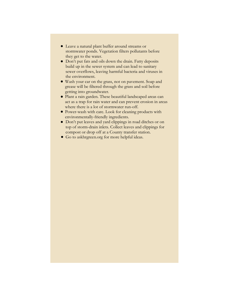- Leave a natural plant buffer around streams or stormwater ponds. Vegetation filters pollutants before they get to the water.
- Don't put fats and oils down the drain. Fatty deposits build up in the sewer system and can lead to sanitary sewer overflows, leaving harmful bacteria and viruses in the environment.
- Wash your car on the grass, not on pavement. Soap and grease will be filtered through the grass and soil before getting into groundwater.
- Plant a rain garden. These beautiful landscaped areas can act as a trap for rain water and can prevent erosion in areas where there is a lot of stormwater run-off.
- Power-wash with care. Look for cleaning products with environmentally-friendly ingredients.
- Don't put leaves and yard clippings in road ditches or on top of storm-drain inlets. Collect leaves and clippings for compost or drop off at a County transfer station.
- Go to askhrgreen.org for more helpful ideas.